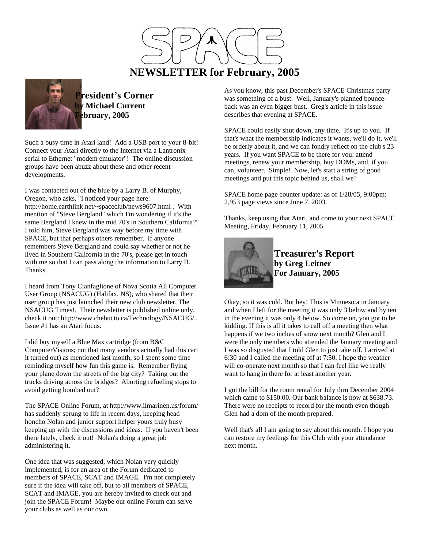# **NEWSLETTER for February, 2005**



**President's Corner by Michael Current February, 2005**

Such a busy time in Atari land! Add a USB port to your 8-bit! Connect your Atari directly to the Internet via a Lantronix serial to Ethernet "modem emulator"! The online discussion groups have been abuzz about these and other recent developments.

I was contacted out of the blue by a Larry B. of Murphy, Oregon, who asks, "I noticed your page here: http://home.earthlink.net/~spaceclub/news9607.html . With mention of "Steve Bergland" which I'm wondering if it's the same Bergland I knew in the mid 70's in Southern California?" I told him, Steve Bergland was way before my time with SPACE, but that perhaps others remember. If anyone remembers Steve Bergland and could say whether or not he lived in Southern California in the 70's, please get in touch with me so that I can pass along the information to Larry B. Thanks.

I heard from Tony Cianfaglione of Nova Scotia All Computer User Group (NSACUG) (Halifax, NS), who shared that their user group has just launched their new club newsletter, The NSACUG Times!. Their newsletter is published online only, check it out: http://www.chebucto.ca/Technology/NSACUG/ . Issue #1 has an Atari focus.

I did buy myself a Blue Max cartridge (from B&C ComputerVisions; not that many vendors actually had this cart it turned out) as mentioned last month, so I spent some time reminding myself how fun this game is. Remember flying your plane down the streets of the big city? Taking out the trucks driving across the bridges? Aborting refueling stops to avoid getting bombed out?

The SPACE Online Forum, at http://www.ilmarinen.us/forum/ has suddenly sprung to life in recent days, keeping head honcho Nolan and junior support helper yours truly busy keeping up with the discussions and ideas. If you haven't been there lately, check it out! Nolan's doing a great job administering it.

One idea that was suggested, which Nolan very quickly implemented, is for an area of the Forum dedicated to members of SPACE, SCAT and IMAGE. I'm not completely sure if the idea will take off, but to all members of SPACE, SCAT and IMAGE, you are hereby invited to check out and join the SPACE Forum! Maybe our online Forum can serve your clubs as well as our own.

As you know, this past December's SPACE Christmas party was something of a bust. Well, January's planned bounceback was an even bigger bust. Greg's article in this issue describes that evening at SPACE.

SPACE could easily shut down, any time. It's up to you. If that's what the membership indicates it wants, we'll do it, we'll be orderly about it, and we can fondly reflect on the club's 23 years. If you want SPACE to be there for you: attend meetings, renew your membership, buy DOMs, and, if you can, volunteer. Simple! Now, let's start a string of good meetings and put this topic behind us, shall we?

SPACE home page counter update: as of 1/28/05, 9:00pm: 2,953 page views since June 7, 2003.

Thanks, keep using that Atari, and come to your next SPACE Meeting, Friday, February 11, 2005.



**Treasurer's Report by Greg Leitner For January, 2005**

Okay, so it was cold. But hey! This is Minnesota in January and when I left for the meeting it was only 3 below and by ten in the evening it was only 4 below. So come on, you got to be kidding. If this is all it takes to call off a meeting then what happens if we two inches of snow next month? Glen and I were the only members who attended the January meeting and I was so disgusted that I told Glen to just take off. I arrived at 6:30 and I called the meeting off at 7:50. I hope the weather will co-operate next month so that I can feel like we really want to hang in there for at least another year.

I got the bill for the room rental for July thru December 2004 which came to \$150.00. Our bank balance is now at \$638.73. There were no receipts to record for the month even though Glen had a dom of the month prepared.

Well that's all I am going to say about this month. I hope you can restore my feelings for this Club with your attendance next month.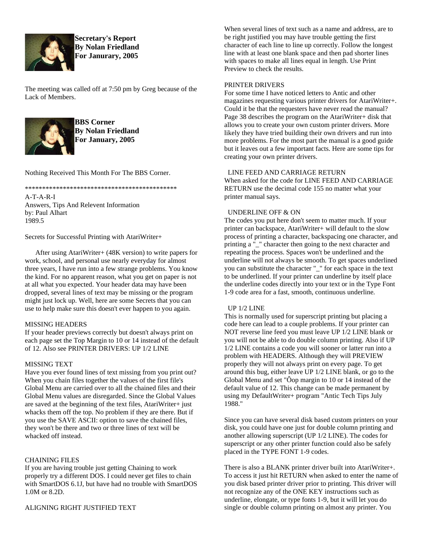

**Secretary's Report By Nolan Friedland For Janurary, 2005**

The meeting was called off at 7:50 pm by Greg because of the Lack of Members.



**BBS Corner By Nolan Friedland For January, 2005**

Nothing Received This Month For The BBS Corner.

\*\*\*\*\*\*\*\*\*\*\*\*\*\*\*\*\*\*\*\*\*\*\*\*\*\*\*\*\*\*\*\*\*\*\*\*\*\*\*\*\*\*\*\*

A-T-A-R-I Answers, Tips And Relevent Information by: Paul Alhart 1989.5

Secrets for Successful Printing with AtariWriter+

 After using AtariWriter+ (48K version) to write papers for work, school, and personal use nearly everyday for almost three years, I have run into a few strange problems. You know the kind. For no apparent reason, what you get on paper is not at all what you expected. Your header data may have been dropped, several lines of text may be missing or the program might just lock up. Well, here are some Secrets that you can use to help make sure this doesn't ever happen to you again.

# MISSING HEADERS

If your header previews correctly but doesn't always print on each page set the Top Margin to 10 or 14 instead of the default of 12. Also see PRINTER DRIVERS: UP 1/2 LINE

# MISSING TEXT

Have you ever found lines of text missing from you print out? When you chain files together the values of the first file's Global Menu are carried over to all the chained files and their Global Menu values are disregarded. Since the Global Values are saved at the beginning of the text files, AtariWriter+ just whacks them off the top. No problem if they are there. But if you use the SAVE ASCII: option to save the chained files, they won't be there and two or three lines of text will be whacked off instead.

# CHAINING FILES

If you are having trouble just getting Chaining to work properly try a different DOS. I could never get files to chain with SmartDOS 6.1J, but have had no trouble with SmartDOS 1.0M or 8.2D.

ALIGNING RIGHT JUSTIFIED TEXT

When several lines of text such as a name and address, are to be right justified you may have trouble getting the first character of each line to line up correctly. Follow the longest line with at least one blank space and then pad shorter lines with spaces to make all lines equal in length. Use Print Preview to check the results.

## PRINTER DRIVERS

For some time I have noticed letters to Antic and other magazines requesting various printer drivers for AtariWriter+. Could it be that the requesters have never read the manual? Page 38 describes the program on the AtariWriter+ disk that allows you to create your own custom printer drivers. More likely they have tried building their own drivers and run into more problems. For the most part the manual is a good guide but it leaves out a few important facts. Here are some tips for creating your own printer drivers.

## LINE FEED AND CARRIAGE RETURN

When asked for the code for LINE FEED AND CARRIAGE RETURN use the decimal code 155 no matter what your printer manual says.

## UNDERLINE OFF & ON

The codes you put here don't seem to matter much. If your printer can backspace, AtariWriter+ will default to the slow process of printing a character, backspacing one character, and printing a "\_" character then going to the next character and repeating the process. Spaces won't be underlined and the underline will not always be smooth. To get spaces underlined you can substitute the character "\_" for each space in the text to be underlined. If your printer can underline by itself place the underline codes directly into your text or in the Type Font 1-9 code area for a fast, smooth, continuous underline.

# UP 1/2 LINE

This is normally used for superscript printing but placing a code here can lead to a couple problems. If your printer can NOT reverse line feed you must leave UP 1/2 LINE blank or you will not be able to do double column printing. Also if UP 1/2 LINE contains a code you will sooner or latter run into a problem with HEADERS. Although they will PREVIEW properly they will not always print on every page. To get around this bug, either leave UP 1/2 LINE blank, or go to the Global Menu and set "Ôop margin to 10 or 14 instead of the default value of 12. This change can be made permanent by using my DefaultWriter+ program "Antic Tech Tips July 1988."

Since you can have several disk based custom printers on your disk, you could have one just for double column printing and another allowing superscript (UP 1/2 LINE). The codes for superscript or any other printer function could also be safely placed in the TYPE FONT 1-9 codes.

There is also a BLANK printer driver built into AtariWriter+. To access it just hit RETURN when asked to enter the name of you disk based printer driver prior to printing. This driver will not recognize any of the ONE KEY instructions such as underline, elongate, or type fonts 1-9, but it will let you do single or double column printing on almost any printer. You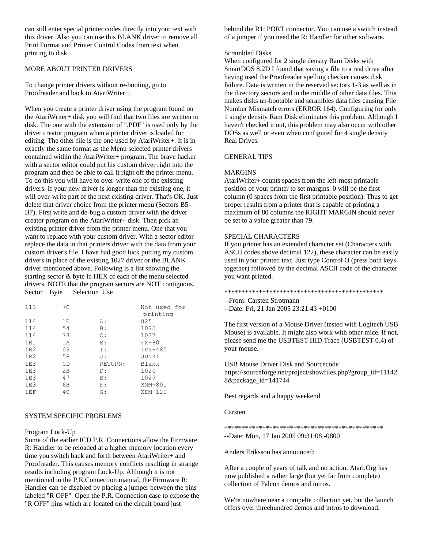can still enter special printer codes directly into your text with this driver. Also you can use this BLANK driver to remove all Print Format and Printer Control Codes from text when printing to disk.

## MORE ABOUT PRINTER DRIVERS

To change printer drivers without re-booting, go to Proofreader and back to AtariWriter+.

When you create a printer driver using the program found on the AtariWriter+ disk you will find that two files are written to disk. The one with the extension of ".PDF" is used only by the driver creator program when a printer driver is loaded for editing. The other file is the one used by AtariWriter+. It is in exactly the same format as the Menu selected printer drivers contained within the AtariWriter+ program. The brave hacker with a sector editor could put his custom driver right into the program and then be able to call it right off the printer menu. To do this you will have to over-write one of the existing drivers. If your new driver is longer than the existing one, it will over-write part of the next existing driver. That's OK. Just delete that driver choice from the printer menu (Sectors B5- B7). First write and de-bug a custom driver with the driver creator program on the AtariWriter+ disk. Then pick an existing printer driver from the printer menu. One that you want to replace with your custom driver. With a sector editor replace the data in that printers driver with the data from your custom driver's file. I have had good luck putting my custom drivers in place of the existing 1027 driver or the BLANK driver mentioned above. Following is a list showing the starting sector & byte in HEX of each of the menu selected drivers. NOTE that the program sectors are NOT contiguous. Sector Byte Selection Use

| 113 | 7C |                | Not used for |
|-----|----|----------------|--------------|
|     |    |                | printing     |
| 114 | 1E | A:             | 825          |
| 114 | 54 | B:             | 1025         |
| 114 | 78 | $\mathbb{C}$ : | 1027         |
| 1E1 | 1A | E:             | $FX - 80$    |
| 1E2 | 09 | I:             | $IDS-480$    |
| 1E2 | 58 | J:             | JUNKI        |
| 1E3 | 0D | RETURN:        | Blank        |
| 1E3 | 2B | D:             | 1020         |
| 1E3 | 47 | E:             | 1029         |
| 1E3 | 6В | F:             | XMM-801      |
| 1EF | 4C | G:             | $XDM-121$    |
|     |    |                |              |

## SYSTEM SPECIFIC PROBLEMS

## Program Lock-Up

Some of the earlier ICD P.R. Connections allow the Firmware R: Handler to be reloaded at a higher memory location every time you switch back and forth between AtariWriter+ and Proofreader. This causes memory conflicts resulting in strange results including program Lock-Up. Although it is not mentioned in the P.R.Connection manual, the Firmware R: Handler can be disabled by placing a jumper between the pins labeled "R OFF". Open the P.R. Connection case to expose the "R OFF" pins which are located on the circuit board just

behind the R1: PORT connector. You can use a switch instead of a jumper if you need the R: Handler for other software.

#### Scrambled Disks

When configured for 2 single density Ram Disks with SmartDOS 8.2D I found that saving a file to a real drive after having used the Proofreader spelling checker causes disk failure. Data is written in the reserved sectors 1-3 as well as in the directory sectors and in the middle of other data files. This makes disks un-bootable and scrambles data files causing File Number Mismatch errors (ERROR 164). Configuring for only 1 single density Ram Disk eliminates this problem. Although I haven't checked it out, this problem may also occur with other DOSs as well or even when configured for 4 single density Real Drives.

# GENERAL TIPS

#### MARGINS

AtariWriter+ counts spaces from the left-most printable position of your printer to set margins. 0 will be the first column (0 spaces from the first printable position). Thus to get proper results from a printer that is capable of printing a maximum of 80 columns the RIGHT MARGIN should never be set to a value greater than 79.

## SPECIAL CHARACTERS

If you printer has an extended character set (Characters with ASCII codes above decimal 122), these character can be easily used in your printed text. Just type Control O (press both keys together) followed by the decimal ASCII code of the character you want printed.

\*\*\*\*\*\*\*\*\*\*\*\*\*\*\*\*\*\*\*\*\*\*\*\*\*\*\*\*\*\*\*\*\*\*\*\*\*\*\*\*\*\*\*\*\*\*

--From: Carsten Strotmann

--Date: Fri, 21 Jan 2005 23:21:43 +0100

The first version of a Mouse Driver (tested with Logitech USB Mouse) is available. It might also work with other mice. If not, please send me the USBTEST HID Trace (USBTEST 0.4) of your mouse.

USB Mouse Driver Disk and Sourcecode https://sourceforge.net/project/showfiles.php?group\_id=11142 8&package\_id=141744

Best regards and a happy weekend

### Carsten

\*\*\*\*\*\*\*\*\*\*\*\*\*\*\*\*\*\*\*\*\*\*\*\*\*\*\*\*\*\*\*\*\*\*\*\*\*\*\*\*\*\*\*\*\*\*

--Date: Mon, 17 Jan 2005 09:31:08 -0800

Anders Eriksson has announced:

After a couple of years of talk and no action, Atari.Org has now published a rather large (but yet far from complete) collection of Falcon demos and intros.

We're nowhere near a compelte collection yet, but the launch offers over threehundred demos and intros to download.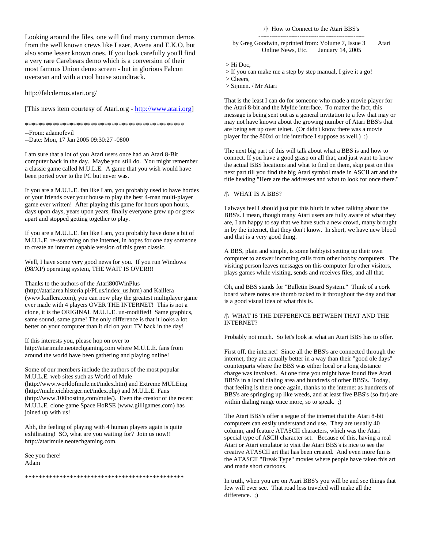Looking around the files, one will find many common demos from the well known crews like Lazer, Avena and E.K.O. but also some lesser known ones. If you look carefully you'll find a very rare Carebears demo which is a conversion of their most famous Union demo screen - but in glorious Falcon overscan and with a cool house soundtrack.

http://falcdemos.atari.org/

[This news item courtesy of Atari.org - [http://www.atari.org\]](http://www.atari.org/)

\*\*\*\*\*\*\*\*\*\*\*\*\*\*\*\*\*\*\*\*\*\*\*\*\*\*\*\*\*\*\*\*\*\*\*\*\*\*\*\*\*\*\*\*\*\*

--From: adamofevil --Date: Mon, 17 Jan 2005 09:30:27 -0800

I am sure that a lot of you Atari users once had an Atari 8-Bit computer back in the day. Maybe you still do. You might remember a classic game called M.U.L.E. A game that you wish would have been ported over to the PC but never was.

If you are a M.U.L.E. fan like I am, you probably used to have hordes of your friends over your house to play the best 4-man multi-player game ever written! After playing this game for hours upon hours, days upon days, years upon years, finally everyone grew up or grew apart and stopped getting together to play.

If you are a M.U.L.E. fan like I am, you probably have done a bit of M.U.L.E. re-searching on the internet, in hopes for one day someone to create an internet capable version of this great classic.

Well, I have some very good news for you. If you run Windows (98/XP) operating system, THE WAIT IS OVER!!!

Thanks to the authors of the Atari800WinPlus (http://atariarea.histeria.pl/PLus/index\_us.htm) and Kaillera (www.kaillera.com), you can now play the greatest multiplayer game ever made with 4 players OVER THE INTERNET! This is not a clone, it is the ORIGINAL M.U.L.E. un-modified! Same graphics, same sound, same game! The only difference is that it looks a lot better on your computer than it did on your TV back in the day!

If this interests you, please hop on over to http://atarimule.neotechgaming.com where M.U.L.E. fans from around the world have been gathering and playing online!

Some of our members include the authors of the most popular M.U.L.E. web sites such as World of Mule (http://www.worldofmule.net/index.htm) and Extreme MULEing (http://mule.eichberger.net/index.php) and M.U.L.E. Fans (http://www.100hosting.com/mule/). Even the creator of the recent M.U.L.E. clone game Space HoRSE (www.gilligames.com) has joined up with us!

Ahh, the feeling of playing with 4 human players again is quite exhilirating! SO, what are you waiting for? Join us now!! http://atarimule.neotechgaming.com.

See you there! Adam

\*\*\*\*\*\*\*\*\*\*\*\*\*\*\*\*\*\*\*\*\*\*\*\*\*\*\*\*\*\*\*\*\*\*\*\*\*\*\*\*\*\*\*\*\*\*

#### /|\ How to Connect to the Atari BBS's

-=-=-=-=-=-=-=--==-=--===--=-=-=-=-=-= by Greg Goodwin, reprinted from: Volume 7, Issue 3 Atari Online News, Etc. January 14, 2005

> Hi Doc,

> If you can make me a step by step manual, I give it a go!

> Cheers,

> Sijmen. / Mr Atari

That is the least I can do for someone who made a movie player for the Atari 8-bit and the MyIde interface. To matter the fact, this message is being sent out as a general invitation to a few that may or may not have known about the growing number of Atari BBS's that are being set up over telnet. (Or didn't know there was a movie player for the 800xl or ide interface I suppose as well.) :)

The next big part of this will talk about what a BBS is and how to connect. If you have a good grasp on all that, and just want to know the actual BBS locations and what to find on them, skip past on this next part till you find the big Atari symbol made in ASCII art and the title heading "Here are the addresses and what to look for once there."

#### /|\ WHAT IS A BBS?

I always feel I should just put this blurb in when talking about the BBS's. I mean, though many Atari users are fully aware of what they are, I am happy to say that we have such a new crowd, many brought in by the internet, that they don't know. In short, we have new blood and that is a very good thing.

A BBS, plain and simple, is some hobbyist setting up their own computer to answer incoming calls from other hobby computers. The visiting person leaves messages on this computer for other visitors, plays games while visiting, sends and receives files, and all that.

Oh, and BBS stands for "Bulletin Board System." Think of a cork board where notes are thumb tacked to it throughout the day and that is a good visual idea of what this is.

#### /|\ WHAT IS THE DIFFERENCE BETWEEN THAT AND THE INTERNET?

Probably not much. So let's look at what an Atari BBS has to offer.

First off, the internet! Since all the BBS's are connected through the internet, they are actually better in a way than their "good ole days" counterparts where the BBS was either local or a long distance charge was involved. At one time you might have found five Atari BBS's in a local dialing area and hundreds of other BBS's. Today, that feeling is there once again, thanks to the internet as hundreds of BBS's are springing up like weeds, and at least five BBS's (so far) are within dialing range once more, so to speak. ;)

The Atari BBS's offer a segue of the internet that the Atari 8-bit computers can easily understand and use. They are usually 40 column, and feature ATASCII characters, which was the Atari special type of ASCII character set. Because of this, having a real Atari or Atari emulator to visit the Atari BBS's is nice to see the creative ATASCII art that has been created. And even more fun is the ATASCII "Break Type" movies where people have taken this art and made short cartoons.

In truth, when you are on Atari BBS's you will be and see things that few will ever see. That road less traveled will make all the difference. :)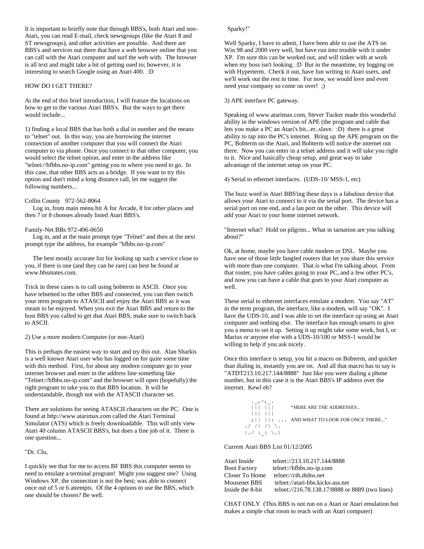It is important to briefly note that through BBS's, both Atari and non-Atari, you can read E-mail, check newsgroups (like the Atari 8 and ST newsgroups), and other activities are possible. And there are BBS's and services out there that have a web browser online that you can call with the Atari computer and surf the web with. The browser is all text and might take a bit of getting used to; however, it is interesting to search Google using an Atari 400. :D

#### HOW DO I GET THERE?

At the end of this brief introduction, I will feature the locations on how to get to the various Atari BBS's. But the ways to get there would include...

1) finding a local BBS that has both a dial in number and the means to "telnet" out. In this way, you are borrowing the internet connection of another computer that you will connect the Atari computer to via phone. Once you connect to that other computer, you would select the telnet option, and enter in the address like "telnet://bfbbs.no-ip.com" getting you to where you need to go. In this case, that other BBS acts as a bridge. If you want to try this option and don't mind a long distance call, let me suggest the following numbers...

#### Collin County 972-562-8064

 Log in, from main menu hit A for Arcade, 8 for other places and then 7 or 8 chooses already listed Atari BBS's.

#### Family-Net BBs 972-496-0650

 Log in, and at the main prompt type "Telnet" and then at the next prompt type the address, for example "bfbbs.no-ip.com"

 The best mostly accurate list for looking up such a service close to you, if there is one (and they can be rare) can best be found at www.bbsmates.com.

Trick in these cases is to call using bobterm in ASCII. Once you have telnetted to the other BBS and connected, you can then switch your term program to ATASCII and enjoy the Atari BBS as it was meant to be enjoyed. When you exit the Atari BBS and return to the host BBS you called to get that Atari BBS, make sure to switch back to ASCII.

#### 2) Use a more modern Computer (or non-Atari)

This is perhaps the easiest way to start and try this out. Alan Sharkis is a well known Atari user who has logged on for quite some time with this method. First, for about any modern computer go to your internet browser and enter in the address line something like "Telnet://bfbbs.no-ip.com" and the browser will open (hopefully) the right program to take you to that BBS location. It will be understandable, though not with the ATASCII character set.

There are solutions for seeing ATASCII characters on the PC. One is found at http://www.atarimax.com called the Atari Terminal Simulator (ATS) which is freely downloadable. This will only view Atari 40 column ATASCII BBS's, but does a fine job of it. There is one question...

"Dr. Clu,

I quickly see that for me to access BF BBS this computer seems to need to emulate a terminal program! Might you suggest one? Using Windows XP, the connection is not the best; was able to connect once out of 5 or 6 attempts. Of the 4 options to use the BBS, which one should be chosen? Be well.

#### Sparky!"

Well Sparky, I have to admit, I have been able to use the ATS on Win 98 and 2000 very well, but have run into trouble with it under XP. I'm sure this can be worked out, and will tinker with at work when my boss isn't looking. :D But in the meantime, try logging on with Hyperterm. Check it out, have fun writing to Atari users, and we'll work out the rest in time. For now, we would love and even need your company so come on over! ;)

3) APE interface PC gateway.

Speaking of www.atarimax.com, Stever Tucker made this wonderful ability in the windows version of APE (the program and cable that lets you make a PC an Atari's bit...er..slave. :D) there is a great ability to tap into the PC's internet. Bring up the APE program on the PC, Bobterm on the Atari, and Bobterm will notice the internet out there. Now you can enter in a telnet address and it will take you right to it. Nice and basically cheap setup, and great way to take advantage of the internet setup on your PC.

4) Serial to ethernet interfaces. (UDS-10/ MSS-1, etc)

The buzz word in Atari BBS'ing these days is a fabulous device that allows your Atari to connect to it via the serial port. The device has a serial port on one end, and a lan port on the other. This device will add your Atari to your home internet network.

"Internet what? Hold on pilgrim... What in tarnation are you talking about?"

Ok, at home, maybe you have cable modem or DSL. Maybe you have one of those little fangled routers that let you share this service with more than one computer. That is what I'm talking about. From that router, you have cables going to your PC, and a few other PC's, and now you can have a cable that goes to your Atari computer as well.

These serial to ethernet interfaces emulate a modem. You say "AT" in the term program, the interface, like a modem, will say "OK". I have the UDS-10, and I was able to set the interface up using an Atari computer and nothing else. The interface has enough smarts to give you a menu to set it up. Setting it up might take some work, but I, or Marius or anyone else with a UDS-10/100 or MSS-1 would be willing to help if you ask nicely.

Once this interface is setup, you hit a macro on Bobterm, and quicker than dialing in, instantly you are on. And all that macro has to say is "ATDT213.10.217.144/8888" Just like you were dialing a phone number, but in this case it is the Atari BBS's IP address over the internet. Kewl eh?

```
\cdot, \cdot, \cdot||| ||| "HERE ARE THE ADDRESSES...
   ||| |||
   ;|| ||: ... AND WHAT TO LOOK FOR ONCE THERE..."
. / / | \setminus \setminus.
|\mathcal{A}| := \mathcal{A} \setminus \mathcal{A}
```
Current Atari BBS List 01/12/2005

| Atari Inside        | telnet://213.10.217.144/8888                    |
|---------------------|-------------------------------------------------|
| <b>Boot Factory</b> | telnet://bfbbs.no-ip.com                        |
| Closer To Home      | telnet://cth.dtdns.net                          |
| Mousenet BBS        | telnet://atari-bbs.kicks-ass.net                |
| Inside the 8-bit    | telnet://216.78.138.17/8888 or 8889 (two lines) |
|                     |                                                 |

CHAT ONLY (This BBS is not run on a Atari or Atari emulation but makes a simple chat room to reach with an Atari computer)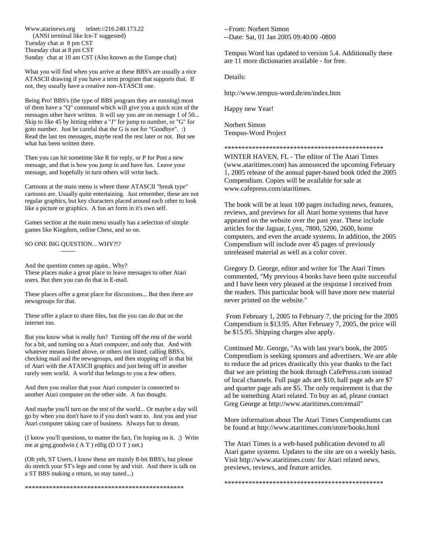Www.atarinews.org telnet://216.240.173.22 (ANSI terminal like Ice-T suggested) Tuesday chat at 8 pm CST Thursday chat at 8 pm CST Sunday chat at 10 am CST (Also known as the Europe chat)

What you will find when you arrive at these BBS's are usually a nice ATASCII drawing if you have a term program that supports that. If not, they usually have a creative non-ATASCII one.

Being Pro! BBS's (the type of BBS program they are running) most of them have a "Q" command which will give you a quick scan of the messages other have written. It will say you are on message 1 of 50... Skip to like 45 by hitting either a "J" for jump to number, or "G" for goto number. Just be careful that the G is not for "Goodbye". :) Read the last ten messages, maybe read the rest later or not. But see what has been written there.

Then you can hit sometime like R for reply, or P for Post a new message, and that is how you jump in and have fun. Leave your message, and hopefully in turn others will write back.

Cartoons at the main menu is where those ATASCII "break type" cartoons are. Usually quite entertaining. Just remember, these are not regular graphics, but key characters placed around each other to look like a picture or graphics. A fun art form in it's own self.

Games section at the main menu usually has a selection of simple games like Kingdom, online Chess, and so on.

#### SO ONE BIG QUESTION... WHY?!?

-------

And the question comes up again.. Why? These places make a great place to leave messages to other Atari users. But then you can do that in E-mail.

These places offer a great place for discussions... But then there are newsgroups for that.

These offer a place to share files, but the you can do that on the internet too.

But you know what is really fun? Turning off the rest of the world for a bit, and turning on a Atari computer, and only that. And with whatever means listed above, or others not listed, calling BBS's, checking mail and the newsgroups, and then stopping off in that bit of Atari with the ATASCII graphics and just being off in another rarely seen world. A world that belongs to you a few others.

And then you realize that your Atari computer is connected to another Atari computer on the other side. A fun thought.

And maybe you'll turn on the rest of the world... Or maybe a day will go by when you don't have to if you don't want to. Just you and your Atari computer taking care of business. Always fun to dream.

(I know you'll questions, to matter the fact, I'm hoping on it. ;) Write me at greg.goodwin ( A T ) rdfig (D O T ) net.)

(Oh yeh, ST Users, I know these are mainly 8-bit BBS's, but please do stretch your ST's legs and come by and visit. And there is talk on a ST BBS making a return, so stay tuned...)

\*\*\*\*\*\*\*\*\*\*\*\*\*\*\*\*\*\*\*\*\*\*\*\*\*\*\*\*\*\*\*\*\*\*\*\*\*\*\*\*\*\*\*\*\*\*

--From: Norbert Simon --Date: Sat, 01 Jan 2005 09:40:00 -0800

Tempus Word has updated to version 5.4. Additionally there are 11 more dictionaries available - for free.

Details:

http://www.tempus-word.de/en/index.htm

Happy new Year!

Norbert Simon Tempus-Word Project

\*\*\*\*\*\*\*\*\*\*\*\*\*\*\*\*\*\*\*\*\*\*\*\*\*\*\*\*\*\*\*\*\*\*\*\*\*\*\*\*\*\*\*\*\*\*

WINTER HAVEN, FL - The editor of The Atari Times (www.ataritimes.com) has announced the upcoming February 1, 2005 release of the annual paper-based book titled the 2005 Compendium. Copies will be available for sale at www.cafepress.com/ataritimes.

The book will be at least 100 pages including news, features, reviews, and previews for all Atari home systems that have appeared on the website over the past year. These include articles for the Jaguar, Lynx, 7800, 5200, 2600, home computers, and even the arcade systems. In addition, the 2005 Compendium will include over 45 pages of previously unreleased material as well as a color cover.

Gregory D. George, editor and writer for The Atari Times commented, "My previous 4 books have been quite successful and I have been very pleased at the response I received from the readers. This particular book will have more new material never printed on the website."

From February 1, 2005 to February 7, the pricing for the 2005 Compendium is \$13.95. After February 7, 2005, the price will be \$15.95. Shipping charges also apply.

Continued Mr. George, "As with last year's book, the 2005 Compendium is seeking sponsors and advertisers. We are able to reduce the ad prices drastically this year thanks to the fact that we are printing the book through CafePress.com instead of local channels. Full page ads are \$10, half page ads are \$7 and quarter page ads are \$5. The only requirement is that the ad be something Atari related. To buy an ad, please contact Greg George at http://www.ataritimes.com/email"

More information about The Atari Times Compendiums can be found at http://www.ataritimes.com/store/books.html

The Atari Times is a web-based publication devoted to all Atari game systems. Updates to the site are on a weekly basis. Visit http://www.ataritimes.com/ for Atari related news, previews, reviews, and feature articles.

\*\*\*\*\*\*\*\*\*\*\*\*\*\*\*\*\*\*\*\*\*\*\*\*\*\*\*\*\*\*\*\*\*\*\*\*\*\*\*\*\*\*\*\*\*\*